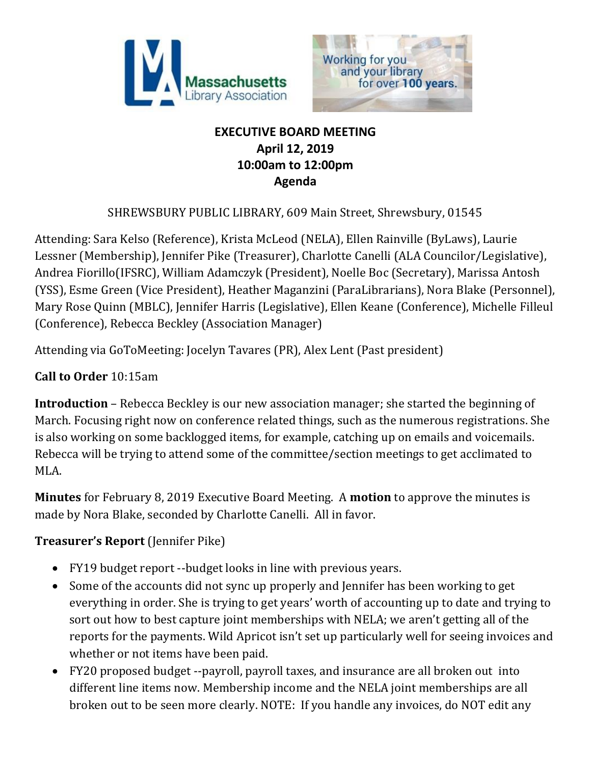



## **EXECUTIVE BOARD MEETING April 12, 2019 10:00am to 12:00pm Agenda**

## SHREWSBURY PUBLIC LIBRARY, 609 Main Street, Shrewsbury, 01545

Attending: Sara Kelso (Reference), Krista McLeod (NELA), Ellen Rainville (ByLaws), Laurie Lessner (Membership), Jennifer Pike (Treasurer), Charlotte Canelli (ALA Councilor/Legislative), Andrea Fiorillo(IFSRC), William Adamczyk (President), Noelle Boc (Secretary), Marissa Antosh (YSS), Esme Green (Vice President), Heather Maganzini (ParaLibrarians), Nora Blake (Personnel), Mary Rose Quinn (MBLC), Jennifer Harris (Legislative), Ellen Keane (Conference), Michelle Filleul (Conference), Rebecca Beckley (Association Manager)

Attending via GoToMeeting: Jocelyn Tavares (PR), Alex Lent (Past president)

# **Call to Order** 10:15am

**Introduction** – Rebecca Beckley is our new association manager; she started the beginning of March. Focusing right now on conference related things, such as the numerous registrations. She is also working on some backlogged items, for example, catching up on emails and voicemails. Rebecca will be trying to attend some of the committee/section meetings to get acclimated to MLA.

**Minutes** for February 8, 2019 Executive Board Meeting. A **motion** to approve the minutes is made by Nora Blake, seconded by Charlotte Canelli. All in favor.

## **Treasurer's Report** (Jennifer Pike)

- FY19 budget report --budget looks in line with previous years.
- Some of the accounts did not sync up properly and Jennifer has been working to get everything in order. She is trying to get years' worth of accounting up to date and trying to sort out how to best capture joint memberships with NELA; we aren't getting all of the reports for the payments. Wild Apricot isn't set up particularly well for seeing invoices and whether or not items have been paid.
- FY20 proposed budget --payroll, payroll taxes, and insurance are all broken out into different line items now. Membership income and the NELA joint memberships are all broken out to be seen more clearly. NOTE: If you handle any invoices, do NOT edit any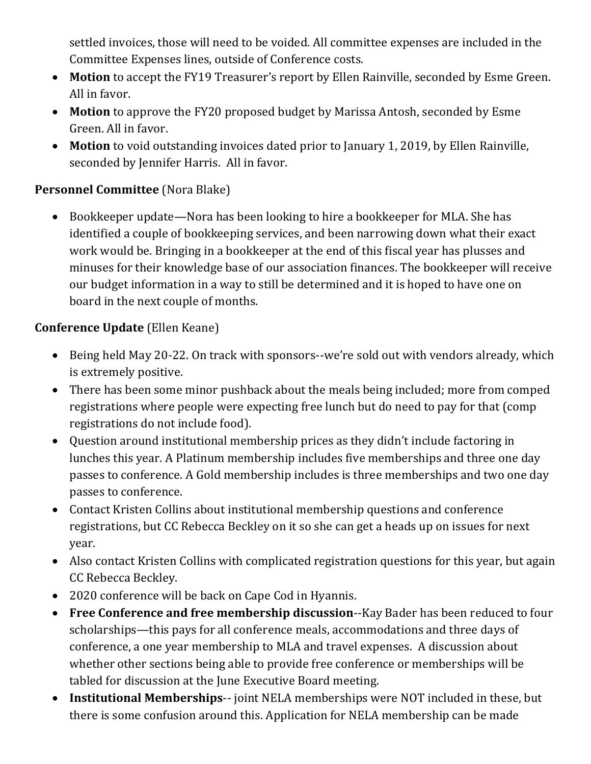settled invoices, those will need to be voided. All committee expenses are included in the Committee Expenses lines, outside of Conference costs.

- **Motion** to accept the FY19 Treasurer's report by Ellen Rainville, seconded by Esme Green. All in favor.
- **Motion** to approve the FY20 proposed budget by Marissa Antosh, seconded by Esme Green. All in favor.
- **Motion** to void outstanding invoices dated prior to January 1, 2019, by Ellen Rainville, seconded by Jennifer Harris. All in favor.

## **Personnel Committee** (Nora Blake)

• Bookkeeper update—Nora has been looking to hire a bookkeeper for MLA. She has identified a couple of bookkeeping services, and been narrowing down what their exact work would be. Bringing in a bookkeeper at the end of this fiscal year has plusses and minuses for their knowledge base of our association finances. The bookkeeper will receive our budget information in a way to still be determined and it is hoped to have one on board in the next couple of months.

## **Conference Update** (Ellen Keane)

- Being held May 20-22. On track with sponsors--we're sold out with vendors already, which is extremely positive.
- There has been some minor pushback about the meals being included; more from comped registrations where people were expecting free lunch but do need to pay for that (comp registrations do not include food).
- Question around institutional membership prices as they didn't include factoring in lunches this year. A Platinum membership includes five memberships and three one day passes to conference. A Gold membership includes is three memberships and two one day passes to conference.
- Contact Kristen Collins about institutional membership questions and conference registrations, but CC Rebecca Beckley on it so she can get a heads up on issues for next year.
- Also contact Kristen Collins with complicated registration questions for this year, but again CC Rebecca Beckley.
- 2020 conference will be back on Cape Cod in Hyannis.
- **Free Conference and free membership discussion**--Kay Bader has been reduced to four scholarships—this pays for all conference meals, accommodations and three days of conference, a one year membership to MLA and travel expenses. A discussion about whether other sections being able to provide free conference or memberships will be tabled for discussion at the June Executive Board meeting.
- **Institutional Memberships**-- joint NELA memberships were NOT included in these, but there is some confusion around this. Application for NELA membership can be made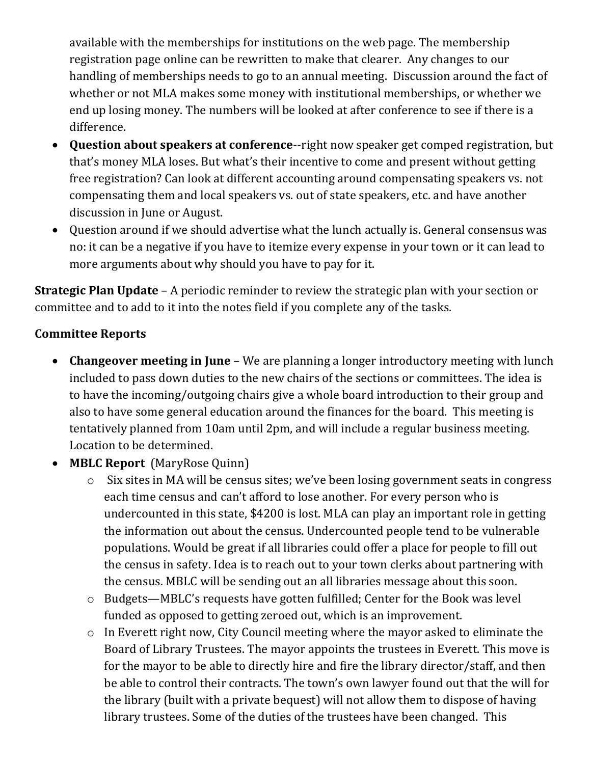available with the memberships for institutions on the web page. The membership registration page online can be rewritten to make that clearer. Any changes to our handling of memberships needs to go to an annual meeting. Discussion around the fact of whether or not MLA makes some money with institutional memberships, or whether we end up losing money. The numbers will be looked at after conference to see if there is a difference.

- **Question about speakers at conference**--right now speaker get comped registration, but that's money MLA loses. But what's their incentive to come and present without getting free registration? Can look at different accounting around compensating speakers vs. not compensating them and local speakers vs. out of state speakers, etc. and have another discussion in June or August.
- Question around if we should advertise what the lunch actually is. General consensus was no: it can be a negative if you have to itemize every expense in your town or it can lead to more arguments about why should you have to pay for it.

**Strategic Plan Update** – A periodic reminder to review the strategic plan with your section or committee and to add to it into the notes field if you complete any of the tasks.

#### **Committee Reports**

- **Changeover meeting in June** We are planning a longer introductory meeting with lunch included to pass down duties to the new chairs of the sections or committees. The idea is to have the incoming/outgoing chairs give a whole board introduction to their group and also to have some general education around the finances for the board. This meeting is tentatively planned from 10am until 2pm, and will include a regular business meeting. Location to be determined.
- **MBLC Report** (MaryRose Quinn)
	- o Six sites in MA will be census sites; we've been losing government seats in congress each time census and can't afford to lose another. For every person who is undercounted in this state, \$4200 is lost. MLA can play an important role in getting the information out about the census. Undercounted people tend to be vulnerable populations. Would be great if all libraries could offer a place for people to fill out the census in safety. Idea is to reach out to your town clerks about partnering with the census. MBLC will be sending out an all libraries message about this soon.
	- o Budgets—MBLC's requests have gotten fulfilled; Center for the Book was level funded as opposed to getting zeroed out, which is an improvement.
	- o In Everett right now, City Council meeting where the mayor asked to eliminate the Board of Library Trustees. The mayor appoints the trustees in Everett. This move is for the mayor to be able to directly hire and fire the library director/staff, and then be able to control their contracts. The town's own lawyer found out that the will for the library (built with a private bequest) will not allow them to dispose of having library trustees. Some of the duties of the trustees have been changed. This